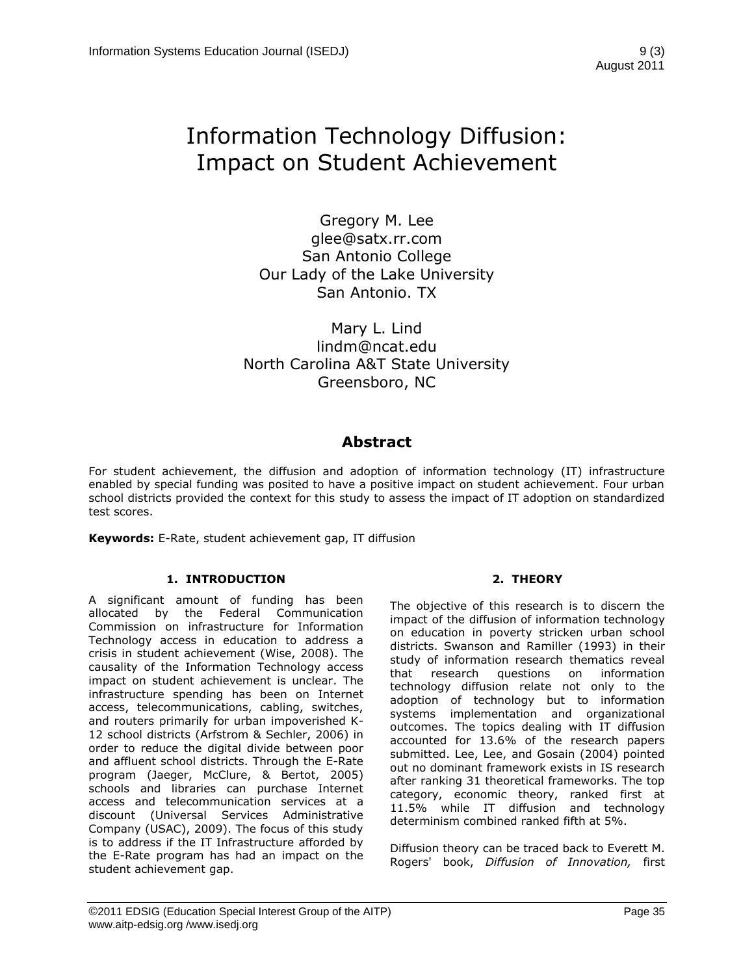# Information Technology Diffusion: Impact on Student Achievement

Gregory M. Lee glee@satx.rr.com San Antonio College Our Lady of the Lake University San Antonio. TX

Mary L. Lind lindm@ncat.edu North Carolina A&T State University Greensboro, NC

## **Abstract**

For student achievement, the diffusion and adoption of information technology (IT) infrastructure enabled by special funding was posited to have a positive impact on student achievement. Four urban school districts provided the context for this study to assess the impact of IT adoption on standardized test scores.

**Keywords:** E-Rate, student achievement gap, IT diffusion

## **1. INTRODUCTION**

A significant amount of funding has been allocated by the Federal Communication Commission on infrastructure for Information Technology access in education to address a crisis in student achievement (Wise, 2008). The causality of the Information Technology access impact on student achievement is unclear. The infrastructure spending has been on Internet access, telecommunications, cabling, switches, and routers primarily for urban impoverished K-12 school districts (Arfstrom & Sechler, 2006) in order to reduce the digital divide between poor and affluent school districts. Through the E-Rate program (Jaeger, McClure, & Bertot, 2005) schools and libraries can purchase Internet access and telecommunication services at a discount (Universal Services Administrative Company (USAC), 2009). The focus of this study is to address if the IT Infrastructure afforded by the E-Rate program has had an impact on the student achievement gap.

## **2. THEORY**

The objective of this research is to discern the impact of the diffusion of information technology on education in poverty stricken urban school districts. Swanson and Ramiller (1993) in their study of information research thematics reveal that research questions on information technology diffusion relate not only to the adoption of technology but to information systems implementation and organizational outcomes. The topics dealing with IT diffusion accounted for 13.6% of the research papers submitted. Lee, Lee, and Gosain (2004) pointed out no dominant framework exists in IS research after ranking 31 theoretical frameworks. The top category, economic theory, ranked first at 11.5% while IT diffusion and technology determinism combined ranked fifth at 5%.

Diffusion theory can be traced back to Everett M. Rogers' book, *Diffusion of Innovation,* first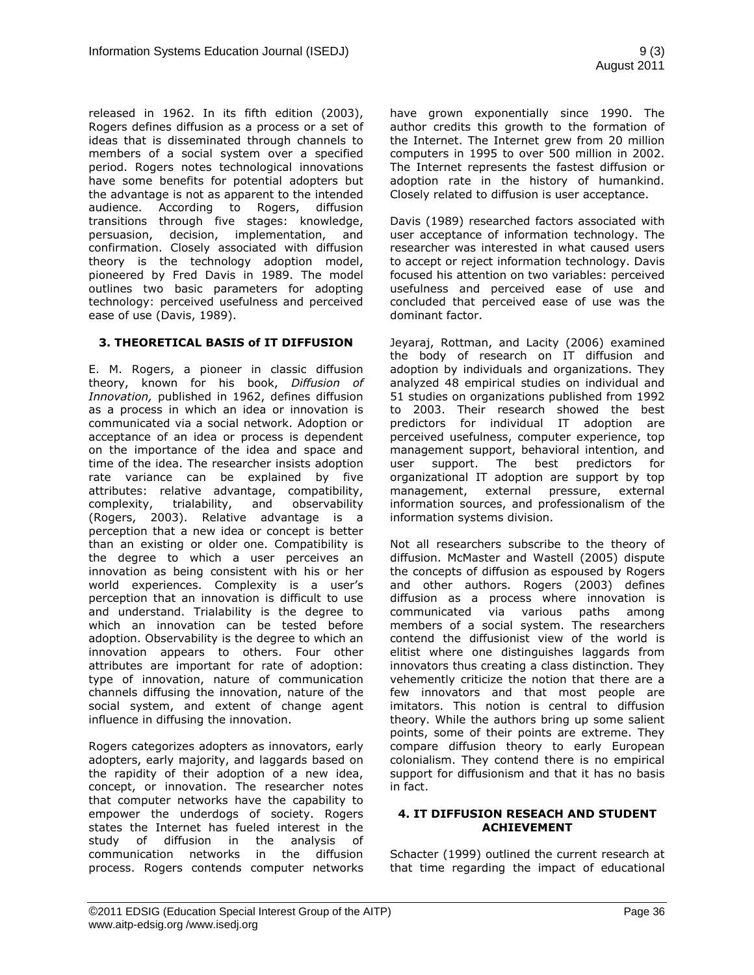released in 1962. In its fifth edition (2003), Rogers defines diffusion as a process or a set of ideas that is disseminated through channels to members of a social system over a specified period. Rogers notes technological innovations have some benefits for potential adopters but the advantage is not as apparent to the intended audience. According to Rogers, diffusion transitions through five stages: knowledge, persuasion, decision, implementation, and confirmation. Closely associated with diffusion theory is the technology adoption model, pioneered by Fred Davis in 1989. The model outlines two basic parameters for adopting technology: perceived usefulness and perceived ease of use (Davis, 1989).

## **3. THEORETICAL BASIS of IT DIFFUSION**

E. M. Rogers, a pioneer in classic diffusion theory, known for his book, *Diffusion of Innovation,* published in 1962, defines diffusion as a process in which an idea or innovation is communicated via a social network. Adoption or acceptance of an idea or process is dependent on the importance of the idea and space and time of the idea. The researcher insists adoption rate variance can be explained by five attributes: relative advantage, compatibility, complexity, trialability, and observability (Rogers, 2003). Relative advantage is a perception that a new idea or concept is better than an existing or older one. Compatibility is the degree to which a user perceives an innovation as being consistent with his or her world experiences. Complexity is a user's perception that an innovation is difficult to use and understand. Trialability is the degree to which an innovation can be tested before adoption. Observability is the degree to which an innovation appears to others. Four other attributes are important for rate of adoption: type of innovation, nature of communication channels diffusing the innovation, nature of the social system, and extent of change agent influence in diffusing the innovation.

Rogers categorizes adopters as innovators, early adopters, early majority, and laggards based on the rapidity of their adoption of a new idea, concept, or innovation. The researcher notes that computer networks have the capability to empower the underdogs of society. Rogers states the Internet has fueled interest in the study of diffusion in the analysis of communication networks in the diffusion process. Rogers contends computer networks have grown exponentially since 1990. The author credits this growth to the formation of the Internet. The Internet grew from 20 million computers in 1995 to over 500 million in 2002. The Internet represents the fastest diffusion or adoption rate in the history of humankind. Closely related to diffusion is user acceptance.

Davis (1989) researched factors associated with user acceptance of information technology. The researcher was interested in what caused users to accept or reject information technology. Davis focused his attention on two variables: perceived usefulness and perceived ease of use and concluded that perceived ease of use was the dominant factor.

Jeyaraj, Rottman, and Lacity (2006) examined the body of research on IT diffusion and adoption by individuals and organizations. They analyzed 48 empirical studies on individual and 51 studies on organizations published from 1992 to 2003. Their research showed the best predictors for individual IT adoption are perceived usefulness, computer experience, top management support, behavioral intention, and user support. The best predictors for organizational IT adoption are support by top management, external pressure, external information sources, and professionalism of the information systems division.

Not all researchers subscribe to the theory of diffusion. McMaster and Wastell (2005) dispute the concepts of diffusion as espoused by Rogers and other authors. Rogers (2003) defines diffusion as a process where innovation is communicated via various paths among members of a social system. The researchers contend the diffusionist view of the world is elitist where one distinguishes laggards from innovators thus creating a class distinction. They vehemently criticize the notion that there are a few innovators and that most people are imitators. This notion is central to diffusion theory. While the authors bring up some salient points, some of their points are extreme. They compare diffusion theory to early European colonialism. They contend there is no empirical support for diffusionism and that it has no basis in fact.

#### **4. IT DIFFUSION RESEACH AND STUDENT ACHIEVEMENT**

Schacter (1999) outlined the current research at that time regarding the impact of educational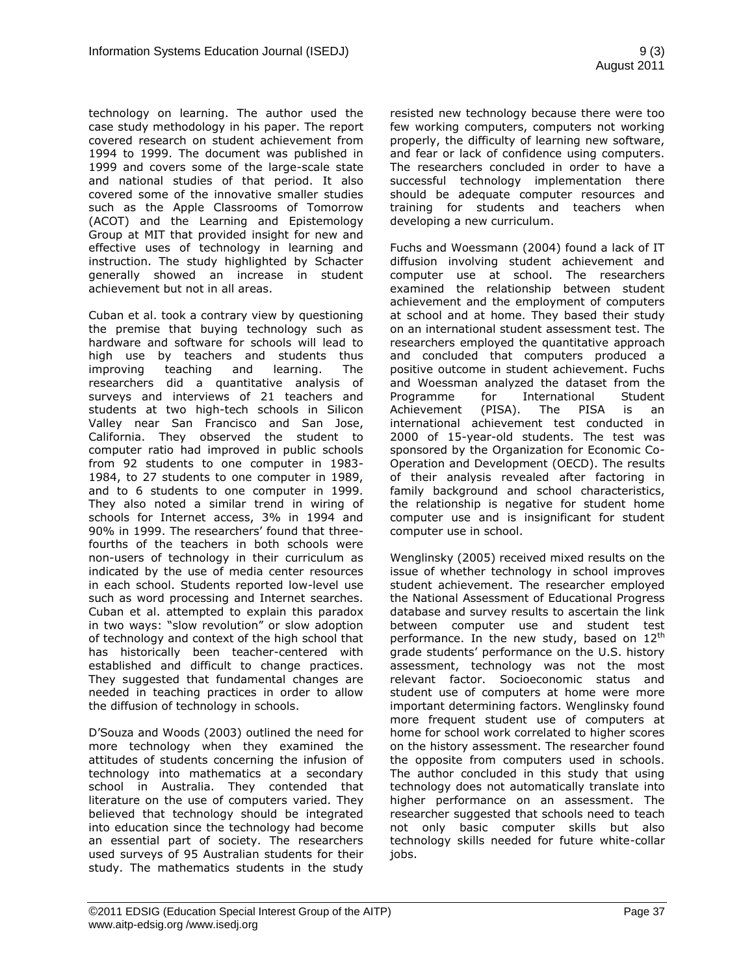technology on learning. The author used the case study methodology in his paper. The report covered research on student achievement from 1994 to 1999. The document was published in 1999 and covers some of the large-scale state and national studies of that period. It also covered some of the innovative smaller studies such as the Apple Classrooms of Tomorrow (ACOT) and the Learning and Epistemology Group at MIT that provided insight for new and effective uses of technology in learning and instruction. The study highlighted by Schacter generally showed an increase in student achievement but not in all areas.

Cuban et al. took a contrary view by questioning the premise that buying technology such as hardware and software for schools will lead to high use by teachers and students thus improving teaching and learning. The researchers did a quantitative analysis of surveys and interviews of 21 teachers and students at two high-tech schools in Silicon Valley near San Francisco and San Jose, California. They observed the student to computer ratio had improved in public schools from 92 students to one computer in 1983- 1984, to 27 students to one computer in 1989, and to 6 students to one computer in 1999. They also noted a similar trend in wiring of schools for Internet access, 3% in 1994 and 90% in 1999. The researchers' found that threefourths of the teachers in both schools were non-users of technology in their curriculum as indicated by the use of media center resources in each school. Students reported low-level use such as word processing and Internet searches. Cuban et al. attempted to explain this paradox in two ways: "slow revolution" or slow adoption of technology and context of the high school that has historically been teacher-centered with established and difficult to change practices. They suggested that fundamental changes are needed in teaching practices in order to allow the diffusion of technology in schools.

D"Souza and Woods (2003) outlined the need for more technology when they examined the attitudes of students concerning the infusion of technology into mathematics at a secondary school in Australia. They contended that literature on the use of computers varied. They believed that technology should be integrated into education since the technology had become an essential part of society. The researchers used surveys of 95 Australian students for their study. The mathematics students in the study resisted new technology because there were too few working computers, computers not working properly, the difficulty of learning new software, and fear or lack of confidence using computers. The researchers concluded in order to have a successful technology implementation there should be adequate computer resources and training for students and teachers when developing a new curriculum.

Fuchs and Woessmann (2004) found a lack of IT diffusion involving student achievement and computer use at school. The researchers examined the relationship between student achievement and the employment of computers at school and at home. They based their study on an international student assessment test. The researchers employed the quantitative approach and concluded that computers produced a positive outcome in student achievement. Fuchs and Woessman analyzed the dataset from the Programme for International Student Achievement (PISA). The PISA is an international achievement test conducted in 2000 of 15-year-old students. The test was sponsored by the Organization for Economic Co-Operation and Development (OECD). The results of their analysis revealed after factoring in family background and school characteristics, the relationship is negative for student home computer use and is insignificant for student computer use in school.

Wenglinsky (2005) received mixed results on the issue of whether technology in school improves student achievement. The researcher employed the National Assessment of Educational Progress database and survey results to ascertain the link between computer use and student test performance. In the new study, based on 12<sup>th</sup> grade students" performance on the U.S. history assessment, technology was not the most relevant factor. Socioeconomic status and student use of computers at home were more important determining factors. Wenglinsky found more frequent student use of computers at home for school work correlated to higher scores on the history assessment. The researcher found the opposite from computers used in schools. The author concluded in this study that using technology does not automatically translate into higher performance on an assessment. The researcher suggested that schools need to teach not only basic computer skills but also technology skills needed for future white-collar jobs.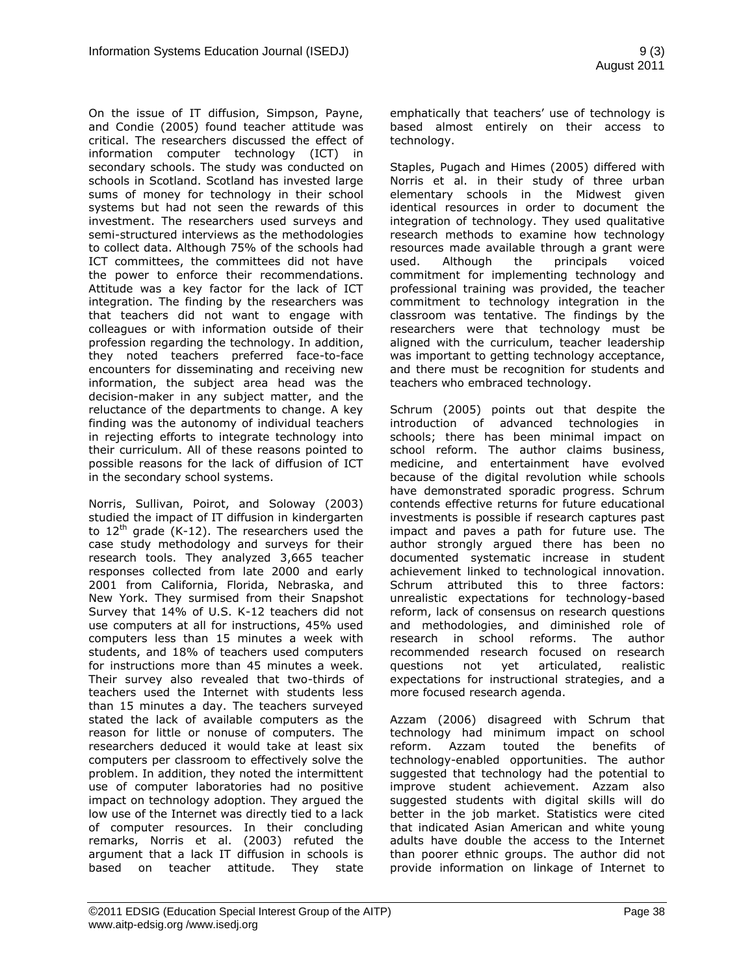On the issue of IT diffusion, Simpson, Payne, and Condie (2005) found teacher attitude was critical. The researchers discussed the effect of information computer technology (ICT) in secondary schools. The study was conducted on schools in Scotland. Scotland has invested large sums of money for technology in their school systems but had not seen the rewards of this investment. The researchers used surveys and semi-structured interviews as the methodologies to collect data. Although 75% of the schools had ICT committees, the committees did not have the power to enforce their recommendations. Attitude was a key factor for the lack of ICT integration. The finding by the researchers was that teachers did not want to engage with colleagues or with information outside of their profession regarding the technology. In addition, they noted teachers preferred face-to-face encounters for disseminating and receiving new information, the subject area head was the decision-maker in any subject matter, and the reluctance of the departments to change. A key finding was the autonomy of individual teachers in rejecting efforts to integrate technology into their curriculum. All of these reasons pointed to possible reasons for the lack of diffusion of ICT in the secondary school systems.

Norris, Sullivan, Poirot, and Soloway (2003) studied the impact of IT diffusion in kindergarten to  $12<sup>th</sup>$  grade (K-12). The researchers used the case study methodology and surveys for their research tools. They analyzed 3,665 teacher responses collected from late 2000 and early 2001 from California, Florida, Nebraska, and New York. They surmised from their Snapshot Survey that 14% of U.S. K-12 teachers did not use computers at all for instructions, 45% used computers less than 15 minutes a week with students, and 18% of teachers used computers for instructions more than 45 minutes a week. Their survey also revealed that two-thirds of teachers used the Internet with students less than 15 minutes a day. The teachers surveyed stated the lack of available computers as the reason for little or nonuse of computers. The researchers deduced it would take at least six computers per classroom to effectively solve the problem. In addition, they noted the intermittent use of computer laboratories had no positive impact on technology adoption. They argued the low use of the Internet was directly tied to a lack of computer resources. In their concluding remarks, Norris et al. (2003) refuted the argument that a lack IT diffusion in schools is based on teacher attitude. They state

emphatically that teachers' use of technology is based almost entirely on their access to technology.

Staples, Pugach and Himes (2005) differed with Norris et al. in their study of three urban elementary schools in the Midwest given identical resources in order to document the integration of technology. They used qualitative research methods to examine how technology resources made available through a grant were used. Although the principals voiced commitment for implementing technology and professional training was provided, the teacher commitment to technology integration in the classroom was tentative. The findings by the researchers were that technology must be aligned with the curriculum, teacher leadership was important to getting technology acceptance, and there must be recognition for students and teachers who embraced technology.

Schrum (2005) points out that despite the introduction of advanced technologies in schools; there has been minimal impact on school reform. The author claims business, medicine, and entertainment have evolved because of the digital revolution while schools have demonstrated sporadic progress. Schrum contends effective returns for future educational investments is possible if research captures past impact and paves a path for future use. The author strongly argued there has been no documented systematic increase in student achievement linked to technological innovation. Schrum attributed this to three factors: unrealistic expectations for technology-based reform, lack of consensus on research questions and methodologies, and diminished role of research in school reforms. The author recommended research focused on research questions not yet articulated, realistic expectations for instructional strategies, and a more focused research agenda.

Azzam (2006) disagreed with Schrum that technology had minimum impact on school reform. Azzam touted the benefits of technology-enabled opportunities. The author suggested that technology had the potential to improve student achievement. Azzam also suggested students with digital skills will do better in the job market. Statistics were cited that indicated Asian American and white young adults have double the access to the Internet than poorer ethnic groups. The author did not provide information on linkage of Internet to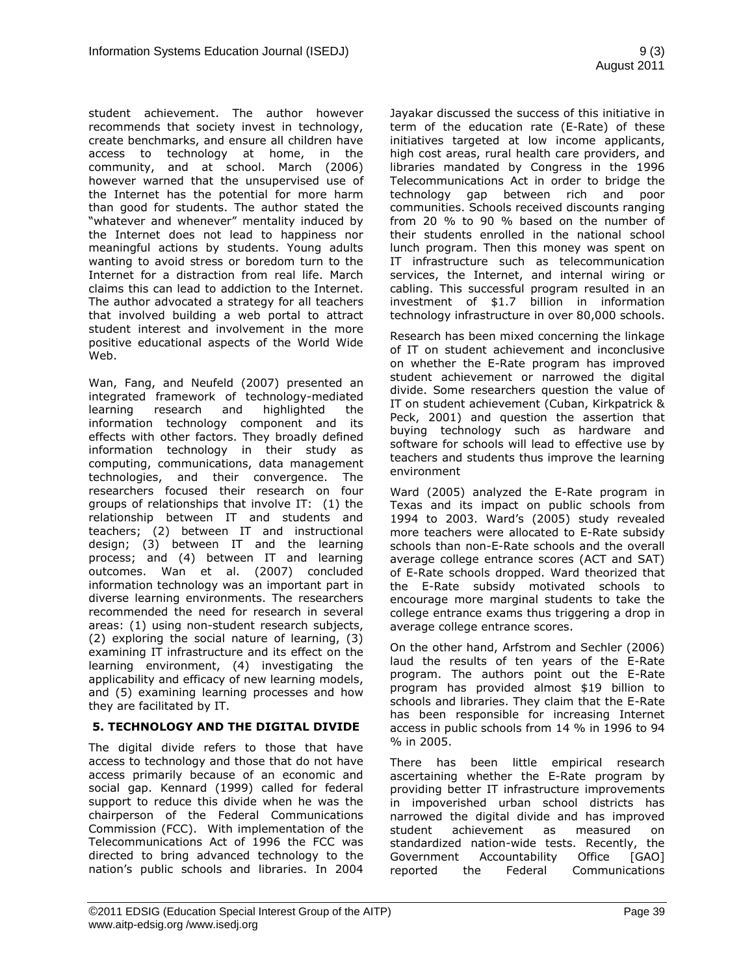student achievement. The author however recommends that society invest in technology, create benchmarks, and ensure all children have access to technology at home, in the community, and at school. March (2006) however warned that the unsupervised use of the Internet has the potential for more harm than good for students. The author stated the "whatever and whenever" mentality induced by the Internet does not lead to happiness nor meaningful actions by students. Young adults wanting to avoid stress or boredom turn to the Internet for a distraction from real life. March claims this can lead to addiction to the Internet. The author advocated a strategy for all teachers that involved building a web portal to attract student interest and involvement in the more positive educational aspects of the World Wide Web.

Wan, Fang, and Neufeld (2007) presented an integrated framework of technology-mediated learning research and highlighted the information technology component and its effects with other factors. They broadly defined information technology in their study as computing, communications, data management technologies, and their convergence. The researchers focused their research on four groups of relationships that involve IT: (1) the relationship between IT and students and teachers; (2) between IT and instructional design; (3) between IT and the learning process; and (4) between IT and learning outcomes. Wan et al. (2007) concluded information technology was an important part in diverse learning environments. The researchers recommended the need for research in several areas: (1) using non-student research subjects, (2) exploring the social nature of learning, (3) examining IT infrastructure and its effect on the learning environment, (4) investigating the applicability and efficacy of new learning models, and (5) examining learning processes and how they are facilitated by IT.

## **5. TECHNOLOGY AND THE DIGITAL DIVIDE**

The digital divide refers to those that have access to technology and those that do not have access primarily because of an economic and social gap. Kennard (1999) called for federal support to reduce this divide when he was the chairperson of the Federal Communications Commission (FCC). With implementation of the Telecommunications Act of 1996 the FCC was directed to bring advanced technology to the nation"s public schools and libraries. In 2004 Jayakar discussed the success of this initiative in term of the education rate (E-Rate) of these initiatives targeted at low income applicants, high cost areas, rural health care providers, and libraries mandated by Congress in the 1996 Telecommunications Act in order to bridge the technology gap between rich and poor communities. Schools received discounts ranging from 20 % to 90 % based on the number of their students enrolled in the national school lunch program. Then this money was spent on IT infrastructure such as telecommunication services, the Internet, and internal wiring or cabling. This successful program resulted in an investment of \$1.7 billion in information technology infrastructure in over 80,000 schools.

Research has been mixed concerning the linkage of IT on student achievement and inconclusive on whether the E-Rate program has improved student achievement or narrowed the digital divide. Some researchers question the value of IT on student achievement (Cuban, Kirkpatrick & Peck, 2001) and question the assertion that buying technology such as hardware and software for schools will lead to effective use by teachers and students thus improve the learning environment

Ward (2005) analyzed the E-Rate program in Texas and its impact on public schools from 1994 to 2003. Ward"s (2005) study revealed more teachers were allocated to E-Rate subsidy schools than non-E-Rate schools and the overall average college entrance scores (ACT and SAT) of E-Rate schools dropped. Ward theorized that the E-Rate subsidy motivated schools to encourage more marginal students to take the college entrance exams thus triggering a drop in average college entrance scores.

On the other hand, Arfstrom and Sechler (2006) laud the results of ten years of the E-Rate program. The authors point out the E-Rate program has provided almost \$19 billion to schools and libraries. They claim that the E-Rate has been responsible for increasing Internet access in public schools from 14 % in 1996 to 94 % in 2005.

There has been little empirical research ascertaining whether the E-Rate program by providing better IT infrastructure improvements in impoverished urban school districts has narrowed the digital divide and has improved student achievement as measured on standardized nation-wide tests. Recently, the Government Accountability Office [GAO] reported the Federal Communications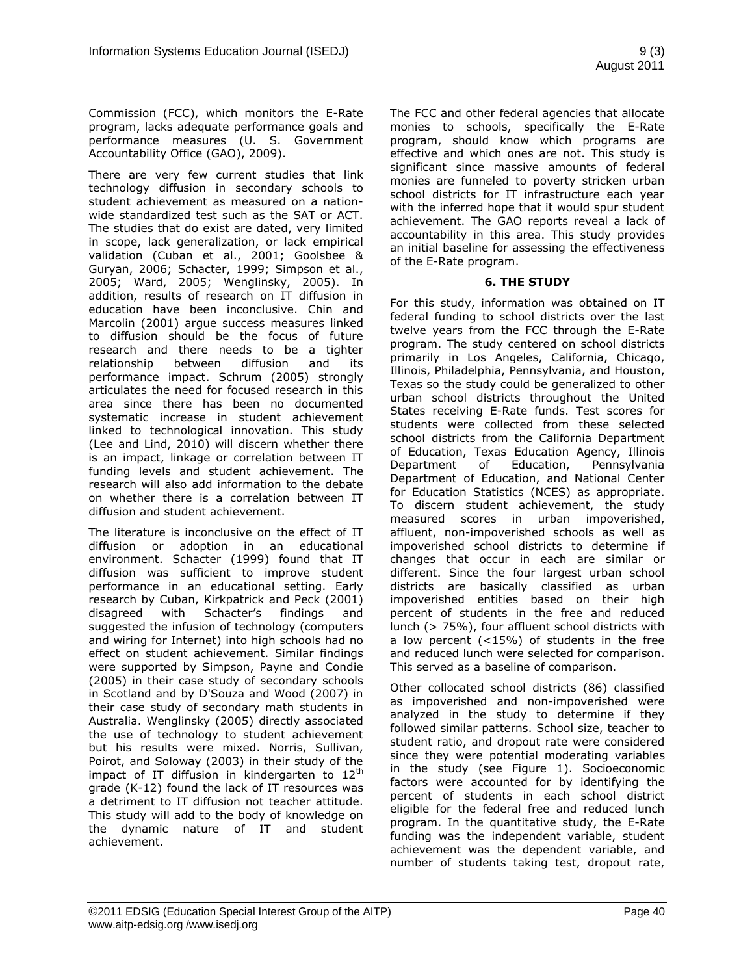Commission (FCC), which monitors the E-Rate program, lacks adequate performance goals and performance measures (U. S. Government Accountability Office (GAO), 2009).

There are very few current studies that link technology diffusion in secondary schools to student achievement as measured on a nationwide standardized test such as the SAT or ACT. The studies that do exist are dated, very limited in scope, lack generalization, or lack empirical validation (Cuban et al., 2001; Goolsbee & Guryan, 2006; Schacter, 1999; Simpson et al., 2005; Ward, 2005; Wenglinsky, 2005). In addition, results of research on IT diffusion in education have been inconclusive. Chin and Marcolin (2001) argue success measures linked to diffusion should be the focus of future research and there needs to be a tighter relationship between diffusion and its performance impact. Schrum (2005) strongly articulates the need for focused research in this area since there has been no documented systematic increase in student achievement linked to technological innovation. This study (Lee and Lind, 2010) will discern whether there is an impact, linkage or correlation between IT funding levels and student achievement. The research will also add information to the debate on whether there is a correlation between IT diffusion and student achievement.

The literature is inconclusive on the effect of IT diffusion or adoption in an educational environment. Schacter (1999) found that IT diffusion was sufficient to improve student performance in an educational setting. Early research by Cuban, Kirkpatrick and Peck (2001) disagreed with Schacter"s findings and suggested the infusion of technology (computers and wiring for Internet) into high schools had no effect on student achievement. Similar findings were supported by Simpson, Payne and Condie (2005) in their case study of secondary schools in Scotland and by D'Souza and Wood (2007) in their case study of secondary math students in Australia. Wenglinsky (2005) directly associated the use of technology to student achievement but his results were mixed. Norris, Sullivan, Poirot, and Soloway (2003) in their study of the impact of IT diffusion in kindergarten to  $12<sup>th</sup>$ grade (K-12) found the lack of IT resources was a detriment to IT diffusion not teacher attitude. This study will add to the body of knowledge on the dynamic nature of IT and student achievement.

The FCC and other federal agencies that allocate monies to schools, specifically the E-Rate program, should know which programs are effective and which ones are not. This study is significant since massive amounts of federal monies are funneled to poverty stricken urban school districts for IT infrastructure each year with the inferred hope that it would spur student achievement. The GAO reports reveal a lack of accountability in this area. This study provides an initial baseline for assessing the effectiveness of the E-Rate program.

## **6. THE STUDY**

For this study, information was obtained on IT federal funding to school districts over the last twelve years from the FCC through the E-Rate program. The study centered on school districts primarily in Los Angeles, California, Chicago, Illinois, Philadelphia, Pennsylvania, and Houston, Texas so the study could be generalized to other urban school districts throughout the United States receiving E-Rate funds. Test scores for students were collected from these selected school districts from the California Department of Education, Texas Education Agency, Illinois Department of Education, Pennsylvania Department of Education, and National Center for Education Statistics (NCES) as appropriate. To discern student achievement, the study measured scores in urban impoverished, affluent, non-impoverished schools as well as impoverished school districts to determine if changes that occur in each are similar or different. Since the four largest urban school districts are basically classified as urban impoverished entities based on their high percent of students in the free and reduced lunch (> 75%), four affluent school districts with a low percent (<15%) of students in the free and reduced lunch were selected for comparison. This served as a baseline of comparison.

Other collocated school districts (86) classified as impoverished and non-impoverished were analyzed in the study to determine if they followed similar patterns. School size, teacher to student ratio, and dropout rate were considered since they were potential moderating variables in the study (see Figure 1). Socioeconomic factors were accounted for by identifying the percent of students in each school district eligible for the federal free and reduced lunch program. In the quantitative study, the E-Rate funding was the independent variable, student achievement was the dependent variable, and number of students taking test, dropout rate,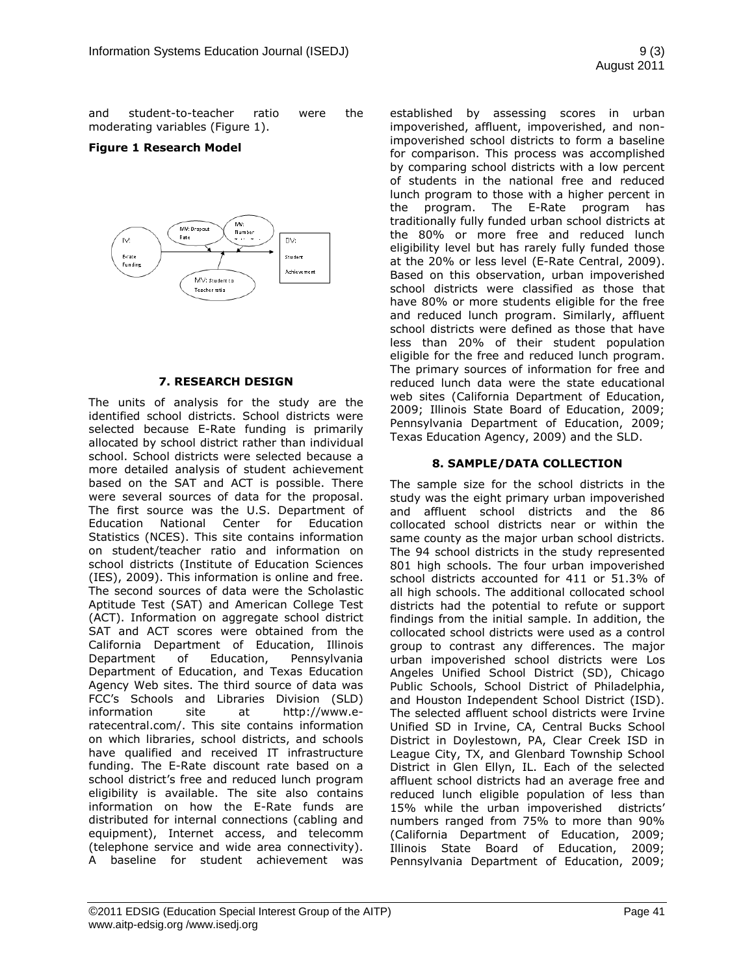and student-to-teacher ratio were the moderating variables (Figure 1).

#### **Figure 1 Research Model**



#### **7. RESEARCH DESIGN**

The units of analysis for the study are the identified school districts. School districts were selected because E-Rate funding is primarily allocated by school district rather than individual school. School districts were selected because a more detailed analysis of student achievement based on the SAT and ACT is possible. There were several sources of data for the proposal. The first source was the U.S. Department of Education National Center for Education Statistics (NCES). This site contains information on student/teacher ratio and information on school districts (Institute of Education Sciences (IES), 2009). This information is online and free. The second sources of data were the Scholastic Aptitude Test (SAT) and American College Test (ACT). Information on aggregate school district SAT and ACT scores were obtained from the California Department of Education, Illinois Department of Education, Pennsylvania Department of Education, and Texas Education Agency Web sites. The third source of data was FCC"s Schools and Libraries Division (SLD) information site at [http://www.e](http://www.e-ratecentral.com/)[ratecentral.com/.](http://www.e-ratecentral.com/) This site contains information on which libraries, school districts, and schools have qualified and received IT infrastructure funding. The E-Rate discount rate based on a school district's free and reduced lunch program eligibility is available. The site also contains information on how the E-Rate funds are distributed for internal connections (cabling and equipment), Internet access, and telecomm (telephone service and wide area connectivity). A baseline for student achievement was

established by assessing scores in urban impoverished, affluent, impoverished, and nonimpoverished school districts to form a baseline for comparison. This process was accomplished by comparing school districts with a low percent of students in the national free and reduced lunch program to those with a higher percent in the program. The E-Rate program has traditionally fully funded urban school districts at the 80% or more free and reduced lunch eligibility level but has rarely fully funded those at the 20% or less level (E-Rate Central, 2009). Based on this observation, urban impoverished school districts were classified as those that have 80% or more students eligible for the free and reduced lunch program. Similarly, affluent school districts were defined as those that have less than 20% of their student population eligible for the free and reduced lunch program. The primary sources of information for free and reduced lunch data were the state educational web sites (California Department of Education, 2009; Illinois State Board of Education, 2009; Pennsylvania Department of Education, 2009; Texas Education Agency, 2009) and the SLD.

#### **8. SAMPLE/DATA COLLECTION**

The sample size for the school districts in the study was the eight primary urban impoverished and affluent school districts and the 86 collocated school districts near or within the same county as the major urban school districts. The 94 school districts in the study represented 801 high schools. The four urban impoverished school districts accounted for 411 or 51.3% of all high schools. The additional collocated school districts had the potential to refute or support findings from the initial sample. In addition, the collocated school districts were used as a control group to contrast any differences. The major urban impoverished school districts were Los Angeles Unified School District (SD), Chicago Public Schools, School District of Philadelphia, and Houston Independent School District (ISD). The selected affluent school districts were Irvine Unified SD in Irvine, CA, Central Bucks School District in Doylestown, PA, Clear Creek ISD in League City, TX, and Glenbard Township School District in Glen Ellyn, IL. Each of the selected affluent school districts had an average free and reduced lunch eligible population of less than 15% while the urban impoverished districts" numbers ranged from 75% to more than 90% (California Department of Education, 2009; Illinois State Board of Education, 2009; Pennsylvania Department of Education, 2009;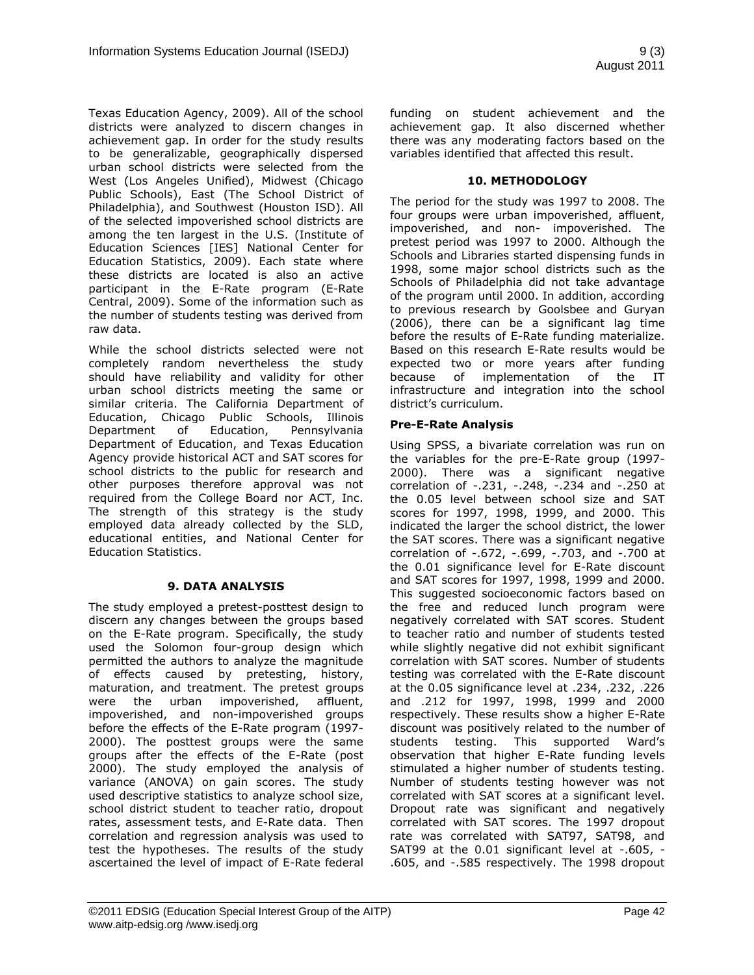Texas Education Agency, 2009). All of the school districts were analyzed to discern changes in achievement gap. In order for the study results to be generalizable, geographically dispersed urban school districts were selected from the West (Los Angeles Unified), Midwest (Chicago Public Schools), East (The School District of Philadelphia), and Southwest (Houston ISD). All of the selected impoverished school districts are among the ten largest in the U.S. (Institute of Education Sciences [IES] National Center for Education Statistics, 2009). Each state where these districts are located is also an active participant in the E-Rate program (E-Rate Central, 2009). Some of the information such as the number of students testing was derived from raw data.

While the school districts selected were not completely random nevertheless the study should have reliability and validity for other urban school districts meeting the same or similar criteria. The California Department of Education, Chicago Public Schools, Illinois Department of Education, Pennsylvania Department of Education, and Texas Education Agency provide historical ACT and SAT scores for school districts to the public for research and other purposes therefore approval was not required from the College Board nor ACT, Inc. The strength of this strategy is the study employed data already collected by the SLD, educational entities, and National Center for Education Statistics.

## **9. DATA ANALYSIS**

The study employed a pretest-posttest design to discern any changes between the groups based on the E-Rate program. Specifically, the study used the Solomon four-group design which permitted the authors to analyze the magnitude of effects caused by pretesting, history, maturation, and treatment. The pretest groups were the urban impoverished, affluent, impoverished, and non-impoverished groups before the effects of the E-Rate program (1997- 2000). The posttest groups were the same groups after the effects of the E-Rate (post 2000). The study employed the analysis of variance (ANOVA) on gain scores. The study used descriptive statistics to analyze school size, school district student to teacher ratio, dropout rates, assessment tests, and E-Rate data. Then correlation and regression analysis was used to test the hypotheses. The results of the study ascertained the level of impact of E-Rate federal funding on student achievement and the achievement gap. It also discerned whether there was any moderating factors based on the variables identified that affected this result.

## **10. METHODOLOGY**

The period for the study was 1997 to 2008. The four groups were urban impoverished, affluent, impoverished, and non- impoverished. The pretest period was 1997 to 2000. Although the Schools and Libraries started dispensing funds in 1998, some major school districts such as the Schools of Philadelphia did not take advantage of the program until 2000. In addition, according to previous research by Goolsbee and Guryan (2006), there can be a significant lag time before the results of E-Rate funding materialize. Based on this research E-Rate results would be expected two or more years after funding because of implementation of the IT infrastructure and integration into the school district"s curriculum.

## **Pre-E-Rate Analysis**

Using SPSS, a bivariate correlation was run on the variables for the pre-E-Rate group (1997- 2000). There was a significant negative correlation of -.231, -.248, -.234 and -.250 at the 0.05 level between school size and SAT scores for 1997, 1998, 1999, and 2000. This indicated the larger the school district, the lower the SAT scores. There was a significant negative correlation of -.672, -.699, -.703, and -.700 at the 0.01 significance level for E-Rate discount and SAT scores for 1997, 1998, 1999 and 2000. This suggested socioeconomic factors based on the free and reduced lunch program were negatively correlated with SAT scores. Student to teacher ratio and number of students tested while slightly negative did not exhibit significant correlation with SAT scores. Number of students testing was correlated with the E-Rate discount at the 0.05 significance level at .234, .232, .226 and .212 for 1997, 1998, 1999 and 2000 respectively. These results show a higher E-Rate discount was positively related to the number of students testing. This supported Ward"s observation that higher E-Rate funding levels stimulated a higher number of students testing. Number of students testing however was not correlated with SAT scores at a significant level. Dropout rate was significant and negatively correlated with SAT scores. The 1997 dropout rate was correlated with SAT97, SAT98, and SAT99 at the 0.01 significant level at -.605, - .605, and -.585 respectively. The 1998 dropout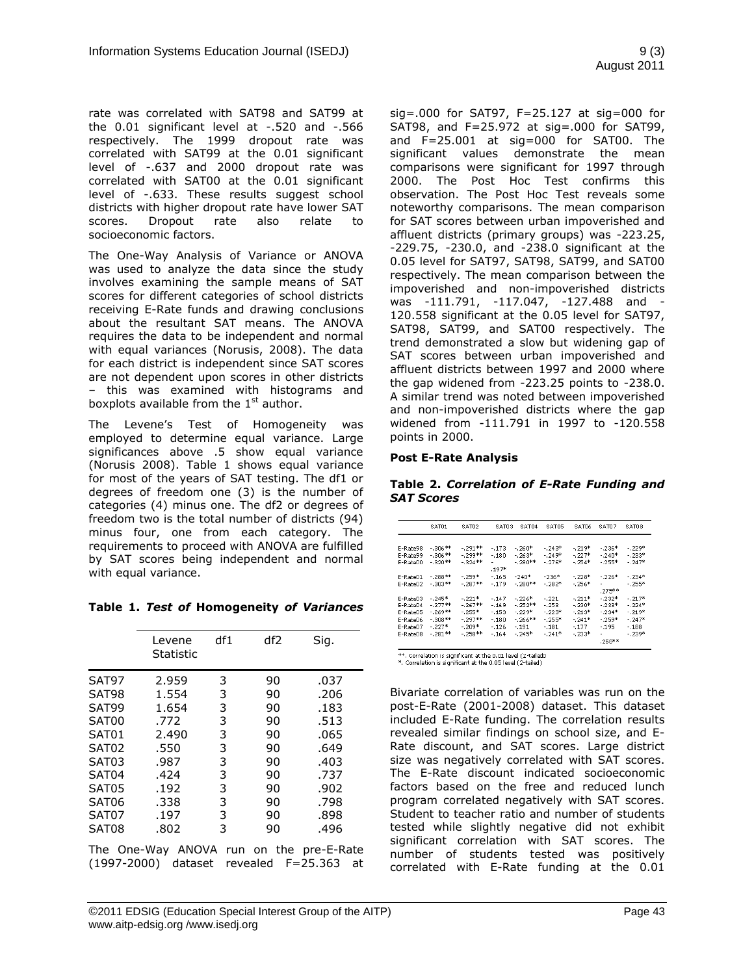rate was correlated with SAT98 and SAT99 at the 0.01 significant level at -.520 and -.566 respectively. The 1999 dropout rate was correlated with SAT99 at the 0.01 significant level of -.637 and 2000 dropout rate was correlated with SAT00 at the 0.01 significant level of -.633. These results suggest school districts with higher dropout rate have lower SAT scores. Dropout rate also relate to socioeconomic factors.

The One-Way Analysis of Variance or ANOVA was used to analyze the data since the study involves examining the sample means of SAT scores for different categories of school districts receiving E-Rate funds and drawing conclusions about the resultant SAT means. The ANOVA requires the data to be independent and normal with equal variances (Norusis, 2008). The data for each district is independent since SAT scores are not dependent upon scores in other districts – this was examined with histograms and boxplots available from the  $1<sup>st</sup>$  author.

The Levene's Test of Homogeneity was employed to determine equal variance. Large significances above .5 show equal variance (Norusis 2008). Table 1 shows equal variance for most of the years of SAT testing. The df1 or degrees of freedom one (3) is the number of categories (4) minus one. The df2 or degrees of freedom two is the total number of districts (94) minus four, one from each category. The requirements to proceed with ANOVA are fulfilled by SAT scores being independent and normal with equal variance.

**Table 1.** *Test of* **Homogeneity** *of Variances*

|                    | Levene<br><b>Statistic</b> | df1 | df2 | Sig. |
|--------------------|----------------------------|-----|-----|------|
| SAT97              | 2.959                      | 3   | 90  | .037 |
| SAT98              | 1.554                      | 3   | 90  | .206 |
| SAT99              | 1.654                      | 3   | 90  | .183 |
| SAT00              | .772                       | 3   | 90  | .513 |
| SAT01              | 2.490                      | 3   | 90  | .065 |
| SAT <sub>02</sub>  | .550                       | 3   | 90  | .649 |
| SAT <sub>0</sub> 3 | .987                       | 3   | 90  | .403 |
| SAT04              | .424                       | 3   | 90  | .737 |
| SAT <sub>0</sub> 5 | .192                       | 3   | 90  | .902 |
| SAT <sub>06</sub>  | .338                       | 3   | 90  | .798 |
| SAT07              | .197                       | 3   | 90  | .898 |
| SAT08              | .802                       | 3   | 90  | .496 |
|                    |                            |     |     |      |

The One-Way ANOVA run on the pre-E-Rate (1997-2000) dataset revealed F=25.363 at sig=.000 for SAT97, F=25.127 at sig=000 for SAT98, and F=25.972 at sig=.000 for SAT99, and F=25.001 at sig=000 for SAT00. The significant values demonstrate the mean comparisons were significant for 1997 through 2000. The Post Hoc Test confirms this observation. The Post Hoc Test reveals some noteworthy comparisons. The mean comparison for SAT scores between urban impoverished and affluent districts (primary groups) was -223.25, -229.75, -230.0, and -238.0 significant at the 0.05 level for SAT97, SAT98, SAT99, and SAT00 respectively. The mean comparison between the impoverished and non-impoverished districts was -111.791, -117.047, -127.488 and - 120.558 significant at the 0.05 level for SAT97, SAT98, SAT99, and SAT00 respectively. The trend demonstrated a slow but widening gap of SAT scores between urban impoverished and affluent districts between 1997 and 2000 where the gap widened from -223.25 points to -238.0. A similar trend was noted between impoverished and non-impoverished districts where the gap widened from -111.791 in 1997 to -120.558 points in 2000.

#### **Post E-Rate Analysis**

|                   | Table 2. Correlation of E-Rate Funding and |  |  |
|-------------------|--------------------------------------------|--|--|
| <b>SAT Scores</b> |                                            |  |  |

|          | SAT01      | SAT02     | SATD <sub>3</sub> | SAT04     | SAT05     | SATD6   | SATD7     | <b>SATD8</b> |
|----------|------------|-----------|-------------------|-----------|-----------|---------|-----------|--------------|
|          |            |           |                   |           |           |         |           |              |
| E-Rate98 | $-306**$   | $-291**$  | $-173$            | $-260*$   | $-0.243*$ | $-219*$ | $-236*$   | $-0.229*$    |
| F-Rate99 | $-306**$   | -.299**   | $-.180.$          | $-263*$   | $-0.249*$ | $-227*$ | $-.240*$  | -. 233*      |
| F-Rate00 | - 320**    | $-324**$  |                   | $-280**$  | $-276*$   | $-254*$ | $-255*$   | $-0.747*$    |
|          |            |           | $.197*$           |           |           |         |           |              |
| F-Rate01 | $-288**$   | $-259*$   | $-165$            | $-240*$   | $-236*$   | - 228*  | $-0.226*$ | $-234*$      |
| F-Rate02 | - 303**    | $-287**$  | $-179$            | $-280**$  | $-.282*$  | $-256*$ |           | $-255*$      |
|          |            |           |                   |           |           |         | $.275**$  |              |
| F-Rate03 | $-0.245*$  | $-0.221*$ | $-147$            | $-226*$   | $-.221$   | $-211*$ | $-232*$   | $-.217*$     |
| E-Rate04 | $-277**$   | $-267**$  | $-169$            | $-252**$  | $-253$    | - 230*  | $-233*$   | $-0.724*$    |
| E-Rate05 | $-269**$   | $-255*$   | $-153$            | $-.229*$  | $-.223*$  | $-213*$ | $-.234*$  | $-.219*$     |
| E-Rate06 | $-0.308**$ | $-.297**$ | $-180$            | $-266$ ** | $-255*$   | $-241*$ | $-259*$   | $-.247*$     |
| F-Rate07 | $-0.227*$  | $-209*$   | $-126$            | $-191$    | $-181$    | $-177$  | $-195$    | $-188$       |
| E-Rate08 | $-281**$   | $-258**$  | $-164$            | $-245*$   | $-.741*$  | $-233*$ |           | $-0.239*$    |
|          |            |           |                   |           |           |         | $.258**$  |              |

 $**$ . Correlation is significant at the 0.01 level (2-tailed0<br>\*. Correlation is significant at the 0.05 level (2-tailed)

Bivariate correlation of variables was run on the post-E-Rate (2001-2008) dataset. This dataset included E-Rate funding. The correlation results revealed similar findings on school size, and E-Rate discount, and SAT scores. Large district size was negatively correlated with SAT scores. The E-Rate discount indicated socioeconomic factors based on the free and reduced lunch program correlated negatively with SAT scores. Student to teacher ratio and number of students tested while slightly negative did not exhibit significant correlation with SAT scores. The number of students tested was positively correlated with E-Rate funding at the 0.01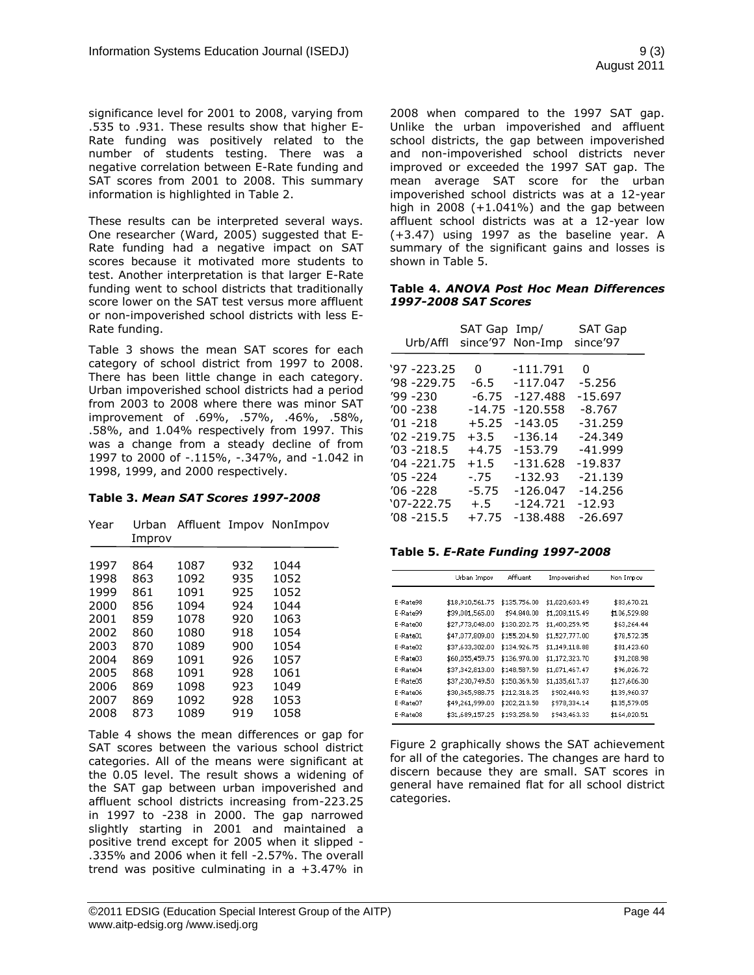significance level for 2001 to 2008, varying from .535 to .931. These results show that higher E-Rate funding was positively related to the number of students testing. There was a negative correlation between E-Rate funding and SAT scores from 2001 to 2008. This summary information is highlighted in Table 2.

These results can be interpreted several ways. One researcher (Ward, 2005) suggested that E-Rate funding had a negative impact on SAT scores because it motivated more students to test. Another interpretation is that larger E-Rate funding went to school districts that traditionally score lower on the SAT test versus more affluent or non-impoverished school districts with less E-Rate funding.

Table 3 shows the mean SAT scores for each category of school district from 1997 to 2008. There has been little change in each category. Urban impoverished school districts had a period from 2003 to 2008 where there was minor SAT improvement of .69%, .57%, .46%, .58%, .58%, and 1.04% respectively from 1997. This was a change from a steady decline of from 1997 to 2000 of -.115%, -.347%, and -1.042 in 1998, 1999, and 2000 respectively.

#### **Table 3.** *Mean SAT Scores 1997-2008*

| Urban<br>Improv |      |      |                                |
|-----------------|------|------|--------------------------------|
|                 |      |      | 1044                           |
| 863             | 1092 | 935  | 1052                           |
| 861             | 1091 | 925  | 1052                           |
| 856             | 1094 | 924  | 1044                           |
| 859             | 1078 | 920  | 1063                           |
| 860             | 1080 | 918  | 1054                           |
| 870             | 1089 | 900  | 1054                           |
| 869             | 1091 | 926  | 1057                           |
| 868             | 1091 | 928  | 1061                           |
| 869             | 1098 | 923  | 1049                           |
| 869             | 1092 | 928  | 1053                           |
| 873             | 1089 | 919  | 1058                           |
|                 | 864  | 1087 | Affluent Impov NonImpov<br>932 |

Table 4 shows the mean differences or gap for SAT scores between the various school district categories. All of the means were significant at the 0.05 level. The result shows a widening of the SAT gap between urban impoverished and affluent school districts increasing from-223.25 in 1997 to -238 in 2000. The gap narrowed slightly starting in 2001 and maintained a positive trend except for 2005 when it slipped - .335% and 2006 when it fell -2.57%. The overall trend was positive culminating in a +3.47% in 2008 when compared to the 1997 SAT gap. Unlike the urban impoverished and affluent school districts, the gap between impoverished and non-impoverished school districts never improved or exceeded the 1997 SAT gap. The mean average SAT score for the urban impoverished school districts was at a 12-year high in  $2008 (+1.041%)$  and the gap between affluent school districts was at a 12-year low (+3.47) using 1997 as the baseline year. A summary of the significant gains and losses is shown in Table 5.

#### **Table 4.** *ANOVA Post Hoc Mean Differences 1997-2008 SAT Scores*

| Urb/Affl      | SAT Gap Imp/ | since'97 Non-Imp | <b>SAT Gap</b><br>since'97 |
|---------------|--------------|------------------|----------------------------|
| '97 -223.25   | 0            | $-111.791$       | 0                          |
| '98 -229.75   | $-6.5$       | $-117.047$       | $-5.256$                   |
| '99 -230      | $-6.75$      | $-127.488$       | $-15.697$                  |
| 00 -238       | $-14.75$     | $-120.558$       | $-8.767$                   |
| $'01 - 218$   | $+5.25$      | $-143.05$        | $-31.259$                  |
| 02 -219.75    | $+3.5$       | $-136.14$        | $-24.349$                  |
| $'03 - 218.5$ | $+4.75$      | $-153.79$        | $-41.999$                  |
| ′04 -221.75   | $+1.5$       | $-131.628$       | $-19.837$                  |
| '05 -224      | $-.75$       | $-132.93$        | $-21.139$                  |
| '06 -228      | $-5.75$      | $-126.047$       | $-14.256$                  |
| '07-222.75    | $+.5$        | $-124.721$       | $-12.93$                   |
| $'08 - 215.5$ | $+7.75$      | $-138.488$       | $-26.697$                  |

**Table 5.** *E-Rate Funding 1997-2008*

|          | Urban Impov     | Affluent     | Impoverished   | Non Impov    |
|----------|-----------------|--------------|----------------|--------------|
|          |                 |              |                |              |
| E-Rate98 | \$18,910,561.75 | \$135,756.00 | \$1,020,603.49 | \$83,670.21  |
| E-Rate99 | \$39,001,565.00 | \$94,840.00  | \$1,208,115.49 | \$106,529.88 |
| E-Rate00 | \$27,773,048.00 | \$130,202.75 | \$1,400,259.95 | \$63,264.44  |
| E-Rate01 | \$47,077,809.00 | \$155,204.50 | \$1,527,777.00 | \$78,572.35  |
| E-Rate02 | \$37,633,302,00 | \$134,926.75 | \$1,149,118.88 | \$81,423.60  |
| E-Rate03 | \$60,055,459.75 | \$136,970.00 | \$1,172,323.70 | \$91,208.98  |
| E-Rate04 | \$37,342,813.00 | \$148,587.50 | \$1,071,467.47 | \$96,026.72  |
| E-Rate05 | \$37,230,749.50 | \$150,369.50 | \$1,135,617.37 | \$127,606.30 |
| E-Rate06 | \$30,365,988.75 | \$212,318.25 | \$902,440.93   | \$139,960.37 |
| E-Rate07 | \$49,261,999.00 | \$202,213.50 | \$978,334.14   | \$135,579.05 |
| E-Rate08 | \$31,689,157.25 | \$193,258,50 | \$943,463,33   | \$164,020.51 |

Figure 2 graphically shows the SAT achievement for all of the categories. The changes are hard to discern because they are small. SAT scores in general have remained flat for all school district categories.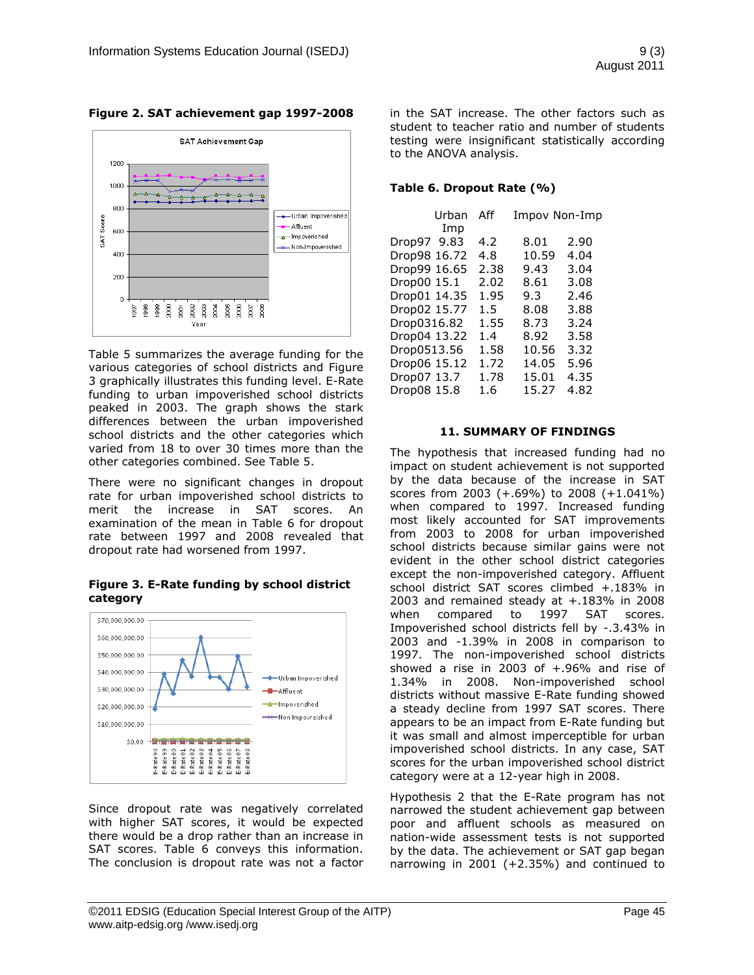

#### **Figure 2. SAT achievement gap 1997-2008**

Table 5 summarizes the average funding for the various categories of school districts and Figure 3 graphically illustrates this funding level. E-Rate funding to urban impoverished school districts peaked in 2003. The graph shows the stark differences between the urban impoverished school districts and the other categories which varied from 18 to over 30 times more than the other categories combined. See Table 5.

There were no significant changes in dropout rate for urban impoverished school districts to merit the increase in SAT scores. An examination of the mean in Table 6 for dropout rate between 1997 and 2008 revealed that dropout rate had worsened from 1997.

**Figure 3. E-Rate funding by school district category**



Since dropout rate was negatively correlated with higher SAT scores, it would be expected there would be a drop rather than an increase in SAT scores. Table 6 conveys this information. The conclusion is dropout rate was not a factor in the SAT increase. The other factors such as student to teacher ratio and number of students testing were insignificant statistically according to the ANOVA analysis.

#### **Table 6. Dropout Rate (%)**

| Urban                                                                                                    | Aff                                                                             | Impov Non-Imp                                            |                                                      |
|----------------------------------------------------------------------------------------------------------|---------------------------------------------------------------------------------|----------------------------------------------------------|------------------------------------------------------|
| Imp<br>Drop97 9.83<br>Drop98 16.72<br>Drop99 16.65<br>Drop00 15.1<br>Drop01 14.35                        | 4.2<br>4.8<br>2.38<br>2.02<br>1.95                                              | 8.01<br>10.59<br>9.43<br>8.61<br>9.3                     | 2.90<br>4.04<br>3.04<br>3.08<br>2.46                 |
| Drop02 15.77<br>Drop0316.82<br>Drop04 13.22<br>Drop0513.56<br>Drop06 15.12<br>Drop07 13.7<br>Drop08 15.8 | $1.5^{\circ}$<br>1.55<br>$1.4^{\circ}$<br>1.58<br>1.72<br>1.78<br>$1.6^{\circ}$ | 8.08<br>8.73<br>8.92<br>10.56<br>14.05<br>15.01<br>15.27 | 3.88<br>3.24<br>3.58<br>3.32<br>5.96<br>4.35<br>4.82 |

#### **11. SUMMARY OF FINDINGS**

The hypothesis that increased funding had no impact on student achievement is not supported by the data because of the increase in SAT scores from 2003 (+.69%) to 2008 (+1.041%) when compared to 1997. Increased funding most likely accounted for SAT improvements from 2003 to 2008 for urban impoverished school districts because similar gains were not evident in the other school district categories except the non-impoverished category. Affluent school district SAT scores climbed +.183% in 2003 and remained steady at +.183% in 2008 when compared to 1997 SAT scores. Impoverished school districts fell by -.3.43% in 2003 and -1.39% in 2008 in comparison to 1997. The non-impoverished school districts showed a rise in 2003 of +.96% and rise of 1.34% in 2008. Non-impoverished school districts without massive E-Rate funding showed a steady decline from 1997 SAT scores. There appears to be an impact from E-Rate funding but it was small and almost imperceptible for urban impoverished school districts. In any case, SAT scores for the urban impoverished school district category were at a 12-year high in 2008.

Hypothesis 2 that the E-Rate program has not narrowed the student achievement gap between poor and affluent schools as measured on nation-wide assessment tests is not supported by the data. The achievement or SAT gap began narrowing in 2001 (+2.35%) and continued to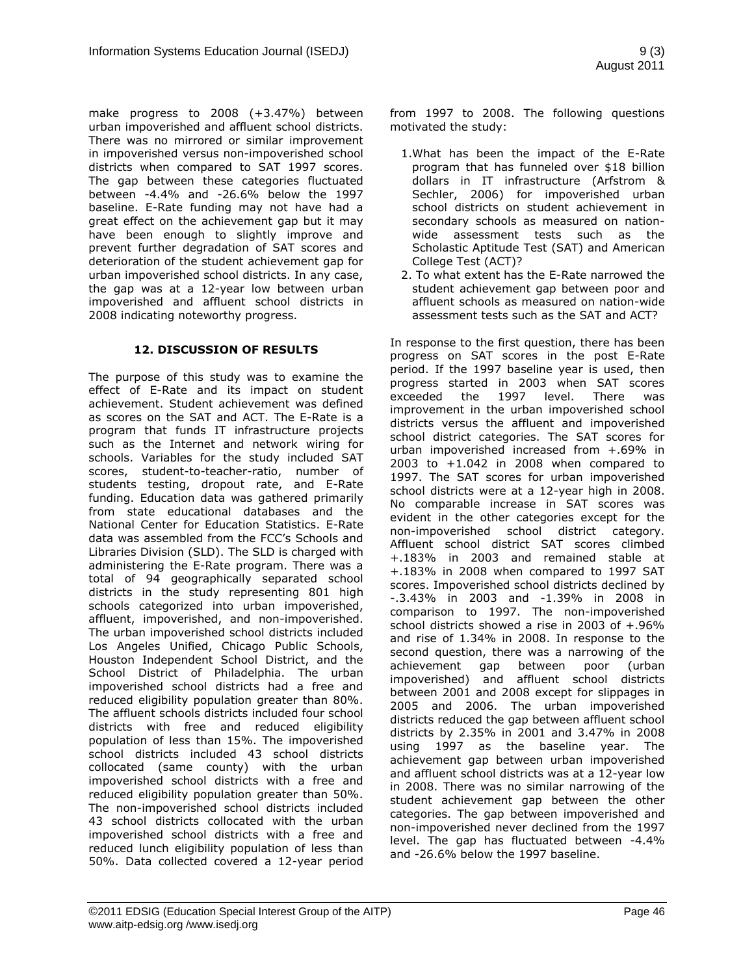make progress to 2008 (+3.47%) between urban impoverished and affluent school districts. There was no mirrored or similar improvement in impoverished versus non-impoverished school districts when compared to SAT 1997 scores. The gap between these categories fluctuated between -4.4% and -26.6% below the 1997 baseline. E-Rate funding may not have had a great effect on the achievement gap but it may have been enough to slightly improve and prevent further degradation of SAT scores and deterioration of the student achievement gap for urban impoverished school districts. In any case, the gap was at a 12-year low between urban impoverished and affluent school districts in 2008 indicating noteworthy progress.

## **12. DISCUSSION OF RESULTS**

The purpose of this study was to examine the effect of E-Rate and its impact on student achievement. Student achievement was defined as scores on the SAT and ACT. The E-Rate is a program that funds IT infrastructure projects such as the Internet and network wiring for schools. Variables for the study included SAT scores, student-to-teacher-ratio, number of students testing, dropout rate, and E-Rate funding. Education data was gathered primarily from state educational databases and the National Center for Education Statistics. E-Rate data was assembled from the FCC"s Schools and Libraries Division (SLD). The SLD is charged with administering the E-Rate program. There was a total of 94 geographically separated school districts in the study representing 801 high schools categorized into urban impoverished, affluent, impoverished, and non-impoverished. The urban impoverished school districts included Los Angeles Unified, Chicago Public Schools, Houston Independent School District, and the School District of Philadelphia. The urban impoverished school districts had a free and reduced eligibility population greater than 80%. The affluent schools districts included four school districts with free and reduced eligibility population of less than 15%. The impoverished school districts included 43 school districts collocated (same county) with the urban impoverished school districts with a free and reduced eligibility population greater than 50%. The non-impoverished school districts included 43 school districts collocated with the urban impoverished school districts with a free and reduced lunch eligibility population of less than 50%. Data collected covered a 12-year period from 1997 to 2008. The following questions motivated the study:

- 1.What has been the impact of the E-Rate program that has funneled over \$18 billion dollars in IT infrastructure (Arfstrom & Sechler, 2006) for impoverished urban school districts on student achievement in secondary schools as measured on nationwide assessment tests such as the Scholastic Aptitude Test (SAT) and American College Test (ACT)?
- 2. To what extent has the E-Rate narrowed the student achievement gap between poor and affluent schools as measured on nation-wide assessment tests such as the SAT and ACT?

In response to the first question, there has been progress on SAT scores in the post E-Rate period. If the 1997 baseline year is used, then progress started in 2003 when SAT scores exceeded the 1997 level. There was improvement in the urban impoverished school districts versus the affluent and impoverished school district categories. The SAT scores for urban impoverished increased from +.69% in 2003 to +1.042 in 2008 when compared to 1997. The SAT scores for urban impoverished school districts were at a 12-year high in 2008. No comparable increase in SAT scores was evident in the other categories except for the non-impoverished school district category. Affluent school district SAT scores climbed +.183% in 2003 and remained stable at +.183% in 2008 when compared to 1997 SAT scores. Impoverished school districts declined by -.3.43% in 2003 and -1.39% in 2008 in comparison to 1997. The non-impoverished school districts showed a rise in 2003 of +.96% and rise of 1.34% in 2008. In response to the second question, there was a narrowing of the achievement gap between poor (urban impoverished) and affluent school districts between 2001 and 2008 except for slippages in 2005 and 2006. The urban impoverished districts reduced the gap between affluent school districts by 2.35% in 2001 and 3.47% in 2008 using 1997 as the baseline year. The achievement gap between urban impoverished and affluent school districts was at a 12-year low in 2008. There was no similar narrowing of the student achievement gap between the other categories. The gap between impoverished and non-impoverished never declined from the 1997 level. The gap has fluctuated between -4.4% and -26.6% below the 1997 baseline.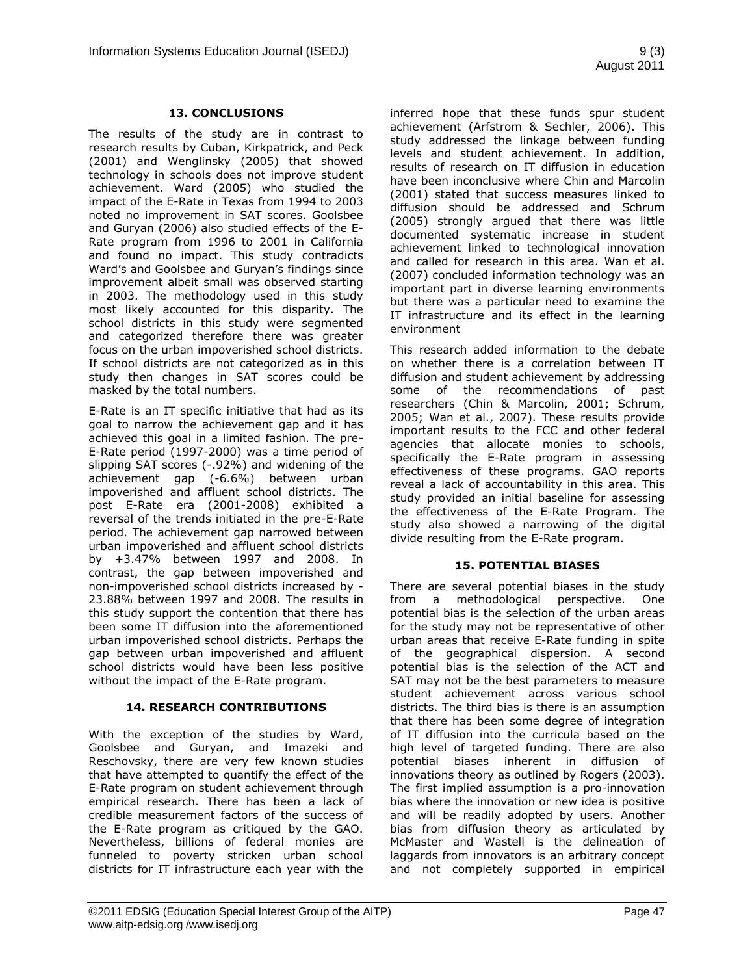### **13. CONCLUSIONS**

The results of the study are in contrast to research results by Cuban, Kirkpatrick, and Peck (2001) and Wenglinsky (2005) that showed technology in schools does not improve student achievement. Ward (2005) who studied the impact of the E-Rate in Texas from 1994 to 2003 noted no improvement in SAT scores. Goolsbee and Guryan (2006) also studied effects of the E-Rate program from 1996 to 2001 in California and found no impact. This study contradicts Ward's and Goolsbee and Guryan's findings since improvement albeit small was observed starting in 2003. The methodology used in this study most likely accounted for this disparity. The school districts in this study were segmented and categorized therefore there was greater focus on the urban impoverished school districts. If school districts are not categorized as in this study then changes in SAT scores could be masked by the total numbers.

E-Rate is an IT specific initiative that had as its goal to narrow the achievement gap and it has achieved this goal in a limited fashion. The pre-E-Rate period (1997-2000) was a time period of slipping SAT scores (-.92%) and widening of the achievement gap (-6.6%) between urban impoverished and affluent school districts. The post E-Rate era (2001-2008) exhibited a reversal of the trends initiated in the pre-E-Rate period. The achievement gap narrowed between urban impoverished and affluent school districts by +3.47% between 1997 and 2008. In contrast, the gap between impoverished and non-impoverished school districts increased by - 23.88% between 1997 and 2008. The results in this study support the contention that there has been some IT diffusion into the aforementioned urban impoverished school districts. Perhaps the gap between urban impoverished and affluent school districts would have been less positive without the impact of the E-Rate program.

## **14. RESEARCH CONTRIBUTIONS**

With the exception of the studies by Ward, Goolsbee and Guryan, and Imazeki and Reschovsky, there are very few known studies that have attempted to quantify the effect of the E-Rate program on student achievement through empirical research. There has been a lack of credible measurement factors of the success of the E-Rate program as critiqued by the GAO. Nevertheless, billions of federal monies are funneled to poverty stricken urban school districts for IT infrastructure each year with the inferred hope that these funds spur student achievement (Arfstrom & Sechler, 2006). This study addressed the linkage between funding levels and student achievement. In addition, results of research on IT diffusion in education have been inconclusive where Chin and Marcolin (2001) stated that success measures linked to diffusion should be addressed and Schrum (2005) strongly argued that there was little documented systematic increase in student achievement linked to technological innovation and called for research in this area. Wan et al. (2007) concluded information technology was an important part in diverse learning environments but there was a particular need to examine the IT infrastructure and its effect in the learning environment

This research added information to the debate on whether there is a correlation between IT diffusion and student achievement by addressing some of the recommendations of past researchers (Chin & Marcolin, 2001; Schrum, 2005; Wan et al., 2007). These results provide important results to the FCC and other federal agencies that allocate monies to schools, specifically the E-Rate program in assessing effectiveness of these programs. GAO reports reveal a lack of accountability in this area. This study provided an initial baseline for assessing the effectiveness of the E-Rate Program. The study also showed a narrowing of the digital divide resulting from the E-Rate program.

## **15. POTENTIAL BIASES**

There are several potential biases in the study from a methodological perspective. One potential bias is the selection of the urban areas for the study may not be representative of other urban areas that receive E-Rate funding in spite of the geographical dispersion. A second potential bias is the selection of the ACT and SAT may not be the best parameters to measure student achievement across various school districts. The third bias is there is an assumption that there has been some degree of integration of IT diffusion into the curricula based on the high level of targeted funding. There are also potential biases inherent in diffusion of innovations theory as outlined by Rogers (2003). The first implied assumption is a pro-innovation bias where the innovation or new idea is positive and will be readily adopted by users. Another bias from diffusion theory as articulated by McMaster and Wastell is the delineation of laggards from innovators is an arbitrary concept and not completely supported in empirical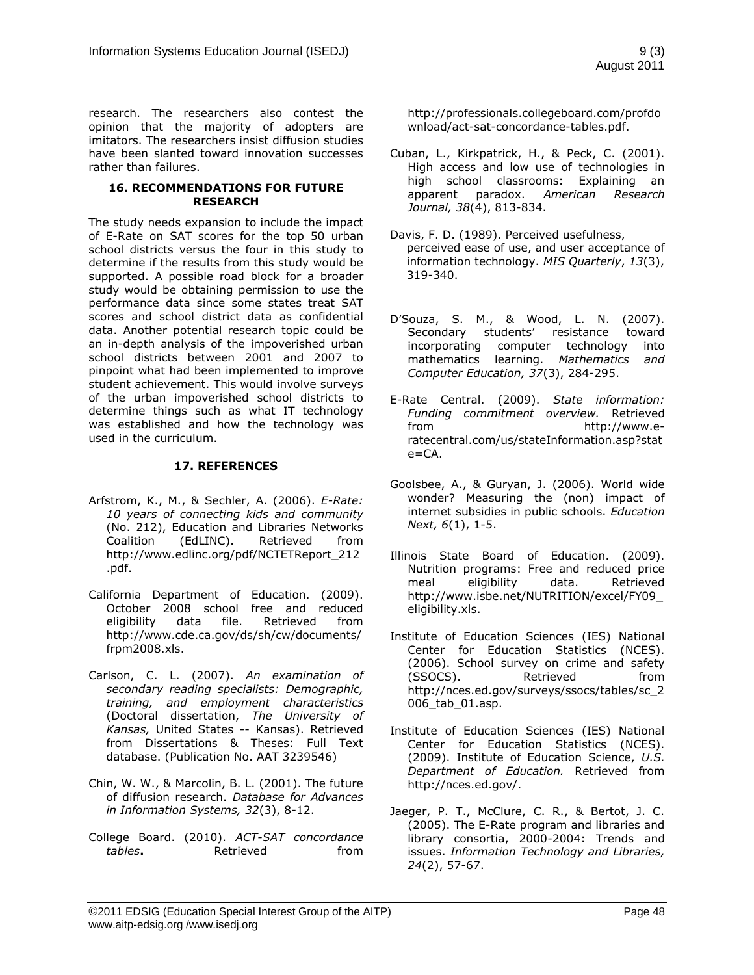research. The researchers also contest the opinion that the majority of adopters are imitators. The researchers insist diffusion studies have been slanted toward innovation successes rather than failures.

#### **16. RECOMMENDATIONS FOR FUTURE RESEARCH**

The study needs expansion to include the impact of E-Rate on SAT scores for the top 50 urban school districts versus the four in this study to determine if the results from this study would be supported. A possible road block for a broader study would be obtaining permission to use the performance data since some states treat SAT scores and school district data as confidential data. Another potential research topic could be an in-depth analysis of the impoverished urban school districts between 2001 and 2007 to pinpoint what had been implemented to improve student achievement. This would involve surveys of the urban impoverished school districts to determine things such as what IT technology was established and how the technology was used in the curriculum.

#### **17. REFERENCES**

- Arfstrom, K., M., & Sechler, A. (2006). *E-Rate: 10 years of connecting kids and community* (No. 212), Education and Libraries Networks Coalition (EdLINC). Retrieved from [http://www.edlinc.org/pdf/NCTETReport\\_212](http://www.edlinc.org/pdf/NCTETReport_212.pdf) [.pdf.](http://www.edlinc.org/pdf/NCTETReport_212.pdf)
- California Department of Education. (2009). October 2008 school free and reduced eligibility data file. Retrieved from [http://www.cde.ca.gov/ds/sh/cw/documents/](http://www.cde.ca.gov/ds/sh/cw/documents/frpm2008.xls) [frpm2008.xls.](http://www.cde.ca.gov/ds/sh/cw/documents/frpm2008.xls)
- Carlson, C. L. (2007). *An examination of secondary reading specialists: Demographic, training, and employment characteristics*  (Doctoral dissertation, *The University of Kansas,* United States -- Kansas). Retrieved from Dissertations & Theses: Full Text database. (Publication No. AAT 3239546)
- Chin, W. W., & Marcolin, B. L. (2001). The future of diffusion research. *Database for Advances in Information Systems, 32*(3), 8-12.
- College Board. (2010). *ACT-SAT concordance tables*. **Retrieved html from**

[http://professionals.collegeboard.com/profdo](http://professionals.collegeboard.com/profdownload/act-sat-concordance-tables.pdf) [wnload/act-sat-concordance-tables.pdf.](http://professionals.collegeboard.com/profdownload/act-sat-concordance-tables.pdf)

- Cuban, L., Kirkpatrick, H., & Peck, C. (2001). High access and low use of technologies in high school classrooms: Explaining an apparent paradox. *American Research Journal, 38*(4), 813-834.
- Davis, F. D. (1989). Perceived usefulness, perceived ease of use, and user acceptance of information technology. *MIS Quarterly*, *13*(3), 319-340.
- D"Souza, S. M., & Wood, L. N. (2007). Secondary students' resistance toward incorporating computer technology into mathematics learning. *Mathematics and Computer Education, 37*(3), 284-295.
- E-Rate Central. (2009). *State information: Funding commitment overview.* Retrieved from [http://www.e](http://www.e-ratecentral.com/us/stateInformation.asp?state=CA)[ratecentral.com/us/stateInformation.asp?stat](http://www.e-ratecentral.com/us/stateInformation.asp?state=CA) [e=CA.](http://www.e-ratecentral.com/us/stateInformation.asp?state=CA)
- Goolsbee, A., & Guryan, J. (2006). World wide wonder? Measuring the (non) impact of internet subsidies in public schools. *Education Next, 6*(1), 1-5.
- Illinois State Board of Education. (2009). Nutrition programs: Free and reduced price meal eligibility data. Retrieved [http://www.isbe.net/NUTRITION/excel/FY09\\_](http://www.isbe.net/NUTRITION/excel/FY09_eligibility.xls) [eligibility.xls.](http://www.isbe.net/NUTRITION/excel/FY09_eligibility.xls)
- Institute of Education Sciences (IES) National Center for Education Statistics (NCES). (2006). School survey on crime and safety (SSOCS). Retrieved from [http://nces.ed.gov/surveys/ssocs/tables/sc\\_2](http://nces.ed.gov/surveys/ssocs/tables/sc_2006_tab_01.asp) [006\\_tab\\_01.asp.](http://nces.ed.gov/surveys/ssocs/tables/sc_2006_tab_01.asp)
- Institute of Education Sciences (IES) National Center for Education Statistics (NCES). (2009). Institute of Education Science, *U.S. Department of Education.* Retrieved from [http://nces.ed.gov/.](http://nces.ed.gov/)
- Jaeger, P. T., McClure, C. R., & Bertot, J. C. (2005). The E-Rate program and libraries and library consortia, 2000-2004: Trends and issues. *Information Technology and Libraries, 24*(2), 57-67.